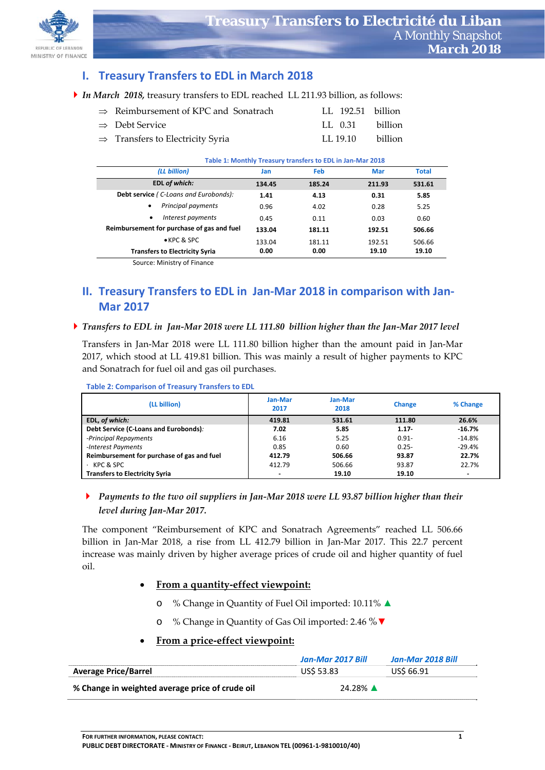

# **I. Treasury Transfers to EDL in March 2018**

| $\Rightarrow$ Reimbursement of KPC and Sonatrach | LL 192.51 billion |  |
|--------------------------------------------------|-------------------|--|
| $\Rightarrow$ Debt Service                       | LL 0.31 billion   |  |
| $\Rightarrow$ Transfers to Electricity Syria     | LL 19.10 billion  |  |

#### **Table 1: Monthly Treasury transfers to EDL in Jan‐Mar 2018**

| (LL billion)                               | Jan    | Feb    | Mar    | <b>Total</b> |
|--------------------------------------------|--------|--------|--------|--------------|
| <b>EDL of which:</b>                       | 134.45 | 185.24 | 211.93 | 531.61       |
| Debt service (C-Loans and Eurobonds):      | 1.41   | 4.13   | 0.31   | 5.85         |
| Principal payments<br>$\bullet$            | 0.96   | 4.02   | 0.28   | 5.25         |
| Interest payments<br>٠                     | 0.45   | 0.11   | 0.03   | 0.60         |
| Reimbursement for purchase of gas and fuel | 133.04 | 181.11 | 192.51 | 506.66       |
| $\bullet$ KPC & SPC                        | 133.04 | 181.11 | 192.51 | 506.66       |
| <b>Transfers to Electricity Syria</b>      | 0.00   | 0.00   | 19.10  | 19.10        |
| Source: Ministry of Finance                |        |        |        |              |

# **II. Treasury Transfers to EDL in Jan‐Mar 2018 in comparison with Jan‐ Mar 2017**

### Transfers to EDL in Jan-Mar 2018 were LL 111.80 billion higher than the Jan-Mar 2017 level

Transfers in Jan‐Mar 2018 were LL 111.80 billion higher than the amount paid in Jan‐Mar 2017, which stood at LL 419.81 billion. This was mainly a result of higher payments to KPC and Sonatrach for fuel oil and gas oil purchases.

| (LL billion)                               | Jan-Mar<br>2017          | Jan-Mar<br>2018 | Change   | % Change       |  |
|--------------------------------------------|--------------------------|-----------------|----------|----------------|--|
| EDL, of which:                             | 419.81                   | 531.61          | 111.80   | 26.6%          |  |
| Debt Service (C-Loans and Eurobonds):      | 7.02                     | 5.85            | $1.17 -$ | $-16.7%$       |  |
| -Principal Repayments                      | 6.16                     | 5.25            | $0.91 -$ | $-14.8\%$      |  |
| -Interest Payments                         | 0.85                     | 0.60            | $0.25 -$ | $-29.4%$       |  |
| Reimbursement for purchase of gas and fuel | 412.79                   | 506.66          | 93.87    | 22.7%          |  |
| $\cdot$ KPC & SPC                          | 412.79                   | 506.66          | 93.87    | 22.7%          |  |
| <b>Transfers to Electricity Syria</b>      | $\overline{\phantom{0}}$ | 19.10           | 19.10    | $\blacksquare$ |  |

**Table 2: Comparison of Treasury Transfers to EDL** 

## *Payments to the two oil suppliers in Jan‐Mar 2018 were LL 93.87 billion higher than their level during Jan‐Mar 2017.*

The component "Reimbursement of KPC and Sonatrach Agreements" reached LL 506.66 billion in Jan‐Mar 2018, a rise from LL 412.79 billion in Jan‐Mar 2017. This 22.7 percent increase was mainly driven by higher average prices of crude oil and higher quantity of fuel oil.

## **From a quantity‐effect viewpoint:**

- o % Change in Quantity of Fuel Oil imported: 10.11% ▲
- o % Change in Quantity of Gas Oil imported: 2.46 %▼

### **From a price‐effect viewpoint:**

|                                                 | Jan-Mar 2017 Bill | Jan-Mar 2018 Bill |
|-------------------------------------------------|-------------------|-------------------|
| <b>Average Price/Barrel</b>                     | <b>US\$ 53.83</b> | US\$ 66.91        |
| % Change in weighted average price of crude oil | 24.28% ▲          |                   |